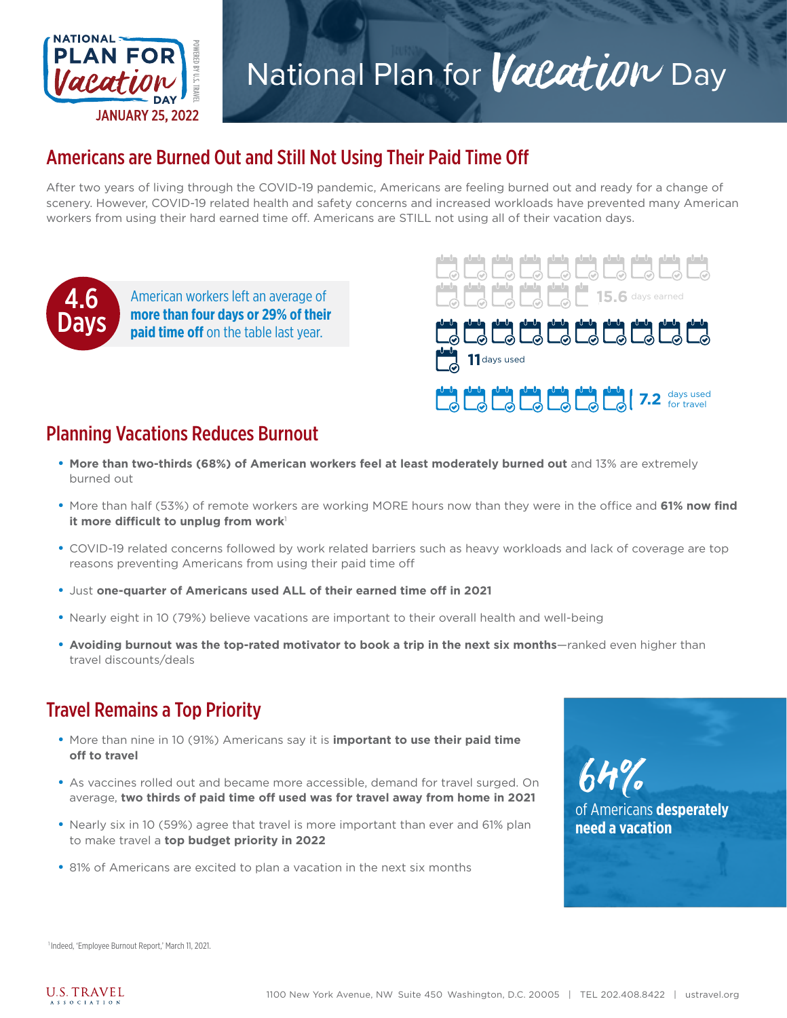

# National Plan for *Vacatiow* Day

## Americans are Burned Out and Still Not Using Their Paid Time Off

After two years of living through the COVID-19 pandemic, Americans are feeling burned out and ready for a change of scenery. However, COVID-19 related health and safety concerns and increased workloads have prevented many American workers from using their hard earned time off. Americans are STILL not using all of their vacation days.



**more than four days or 29% of their paid time off** on the table last year.



#### Planning Vacations Reduces Burnout

- **• More than two-thirds (68%) of American workers feel at least moderately burned out** and 13% are extremely burned out
- **•** More than half (53%) of remote workers are working MORE hours now than they were in the office and **61% now find it more difficult to unplug from work**<sup>1</sup>
- **•** COVID-19 related concerns followed by work related barriers such as heavy workloads and lack of coverage are top reasons preventing Americans from using their paid time off
- **•** Just **one-quarter of Americans used ALL of their earned time off in 2021**
- **•** Nearly eight in 10 (79%) believe vacations are important to their overall health and well-being
- Avoiding burnout was the top-rated motivator to book a trip in the next six months—ranked even higher than travel discounts/deals

#### Travel Remains a Top Priority

- **•** More than nine in 10 (91%) Americans say it is **important to use their paid time off to travel**
- **•** As vaccines rolled out and became more accessible, demand for travel surged. On average, **two thirds of paid time off used was for travel away from home in 2021**
- **•** Nearly six in 10 (59%) agree that travel is more important than ever and 61% plan to make travel a **top budget priority in 2022**
- **•** 81% of Americans are excited to plan a vacation in the next six months

of Americans **desperately need a vacation**  $64\%$ 

1 Indeed, 'Employee Burnout Report,' March 11, 2021.